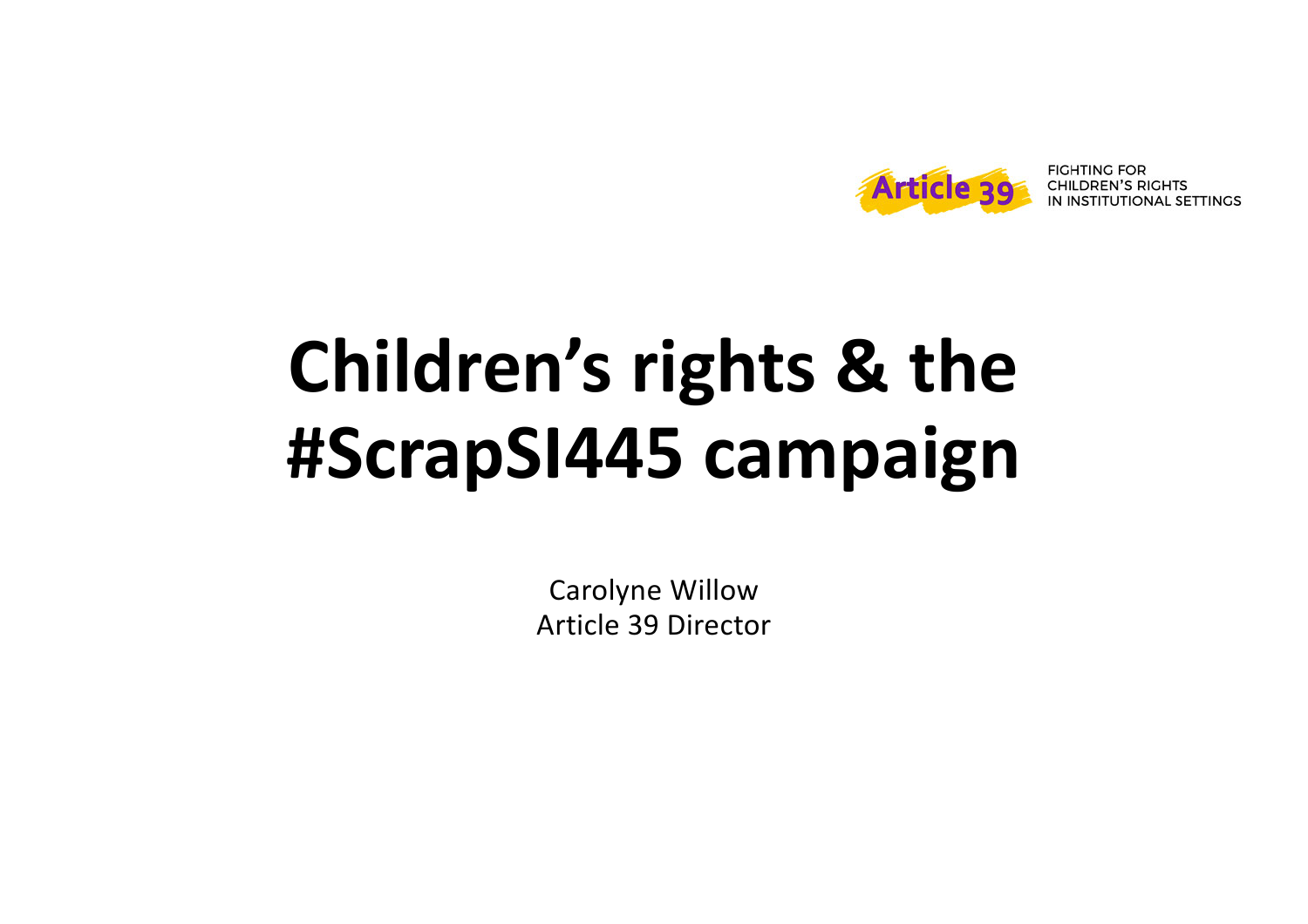

## **Children's rights & the #ScrapSI445 campaign**

Carolyne Willow Article 39 Director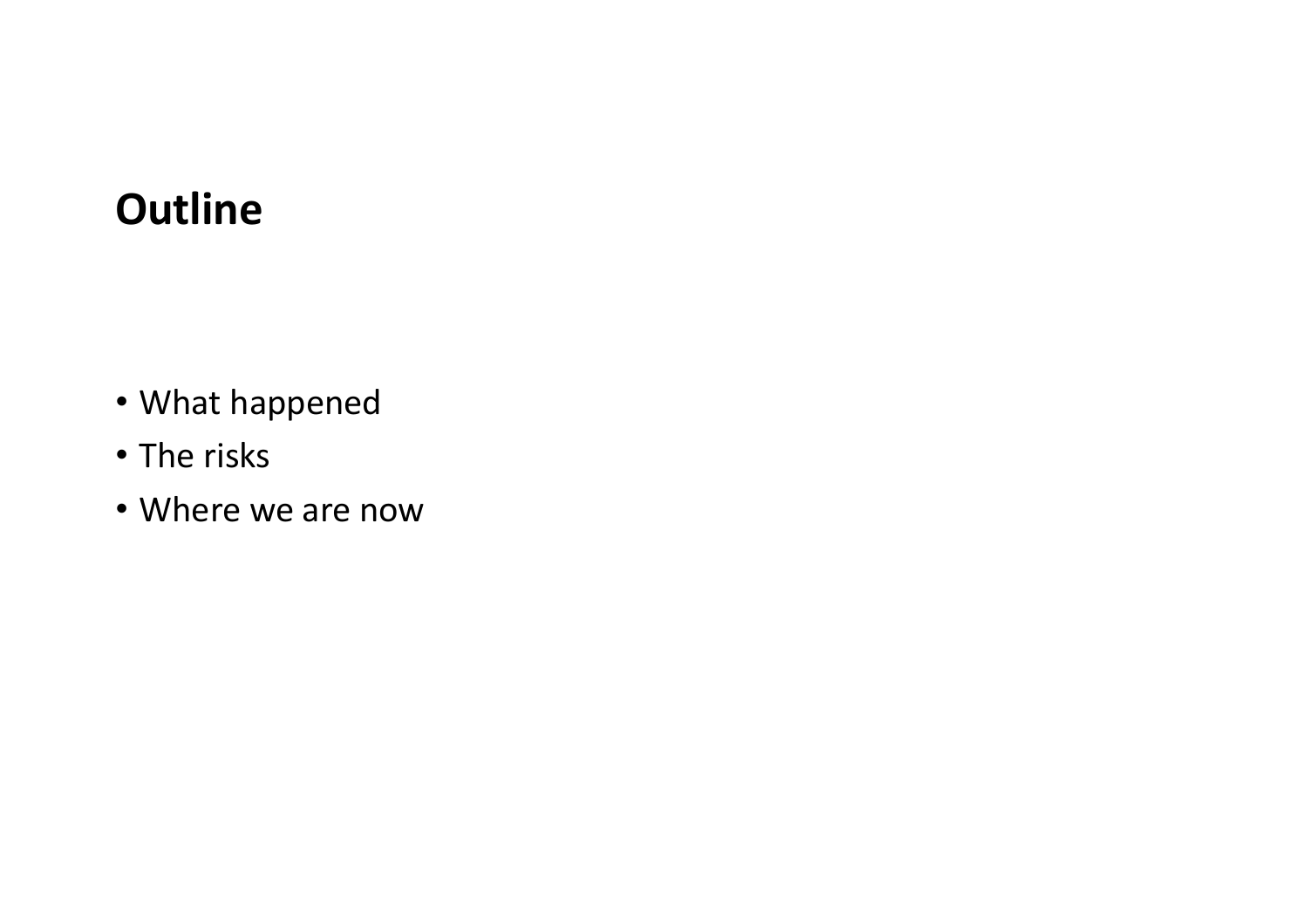## **Outline**

- What happened
- The risks
- Where we are now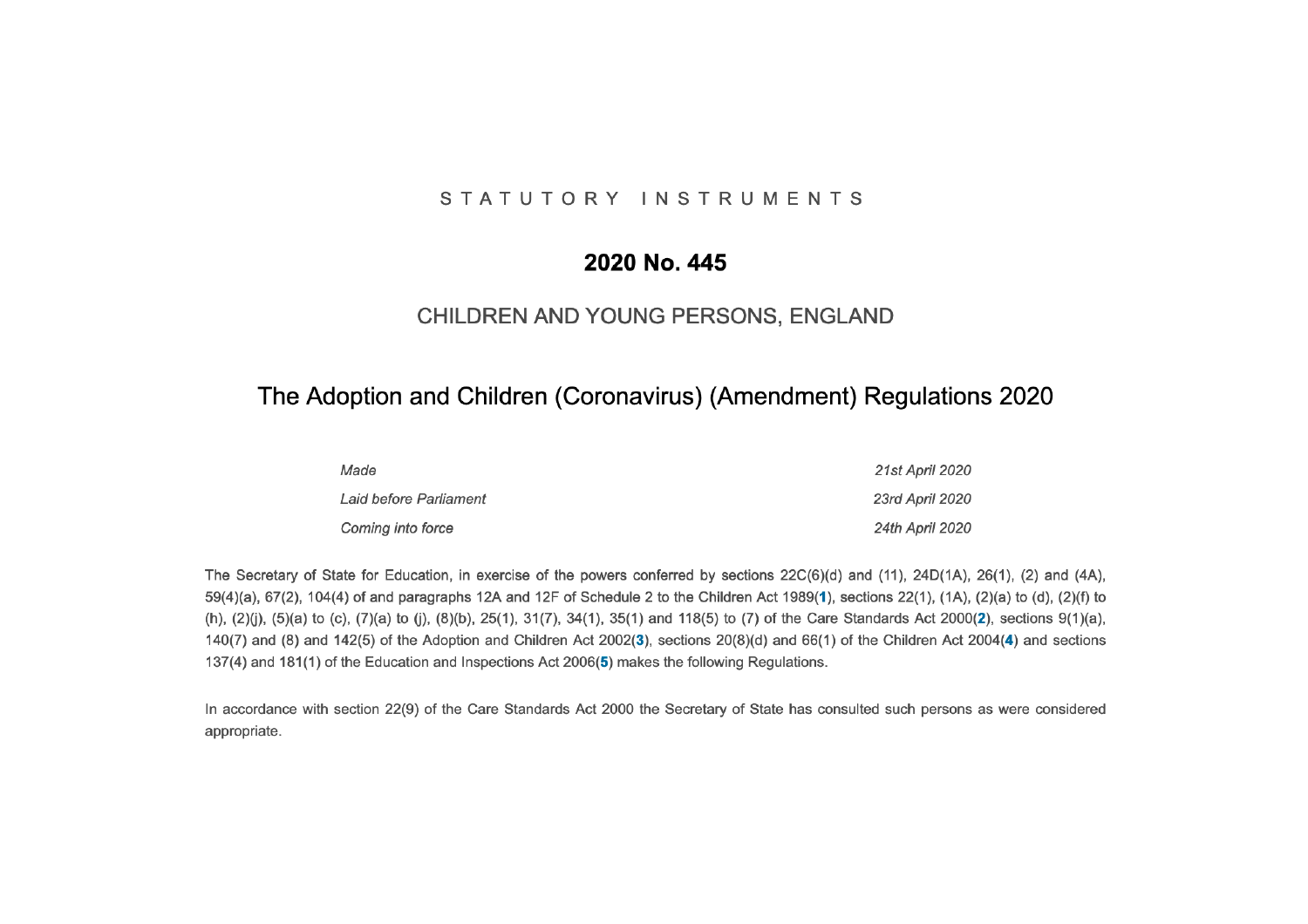#### STATUTORY INSTRUMENTS

#### 2020 No. 445

#### CHILDREN AND YOUNG PERSONS, ENGLAND

#### The Adoption and Children (Coronavirus) (Amendment) Regulations 2020

| Made                   | 21st April 2020        |
|------------------------|------------------------|
| Laid before Parliament | 23rd April 2020        |
| Coming into force      | <b>24th April 2020</b> |

The Secretary of State for Education, in exercise of the powers conferred by sections 22C(6)(d) and (11), 24D(1A), 26(1), (2) and (4A), 59(4)(a), 67(2), 104(4) of and paragraphs 12A and 12F of Schedule 2 to the Children Act 1989(1), sections 22(1), (1A), (2)(a) to (d), (2)(f) to (h), (2)(j), (5)(a) to (c), (7)(a) to (j), (8)(b), 25(1), 31(7), 34(1), 35(1) and 118(5) to (7) of the Care Standards Act 2000(2), sections 9(1)(a), 140(7) and (8) and 142(5) of the Adoption and Children Act 2002(3), sections 20(8)(d) and 66(1) of the Children Act 2004(4) and sections 137(4) and 181(1) of the Education and Inspections Act 2006(5) makes the following Regulations.

In accordance with section 22(9) of the Care Standards Act 2000 the Secretary of State has consulted such persons as were considered appropriate.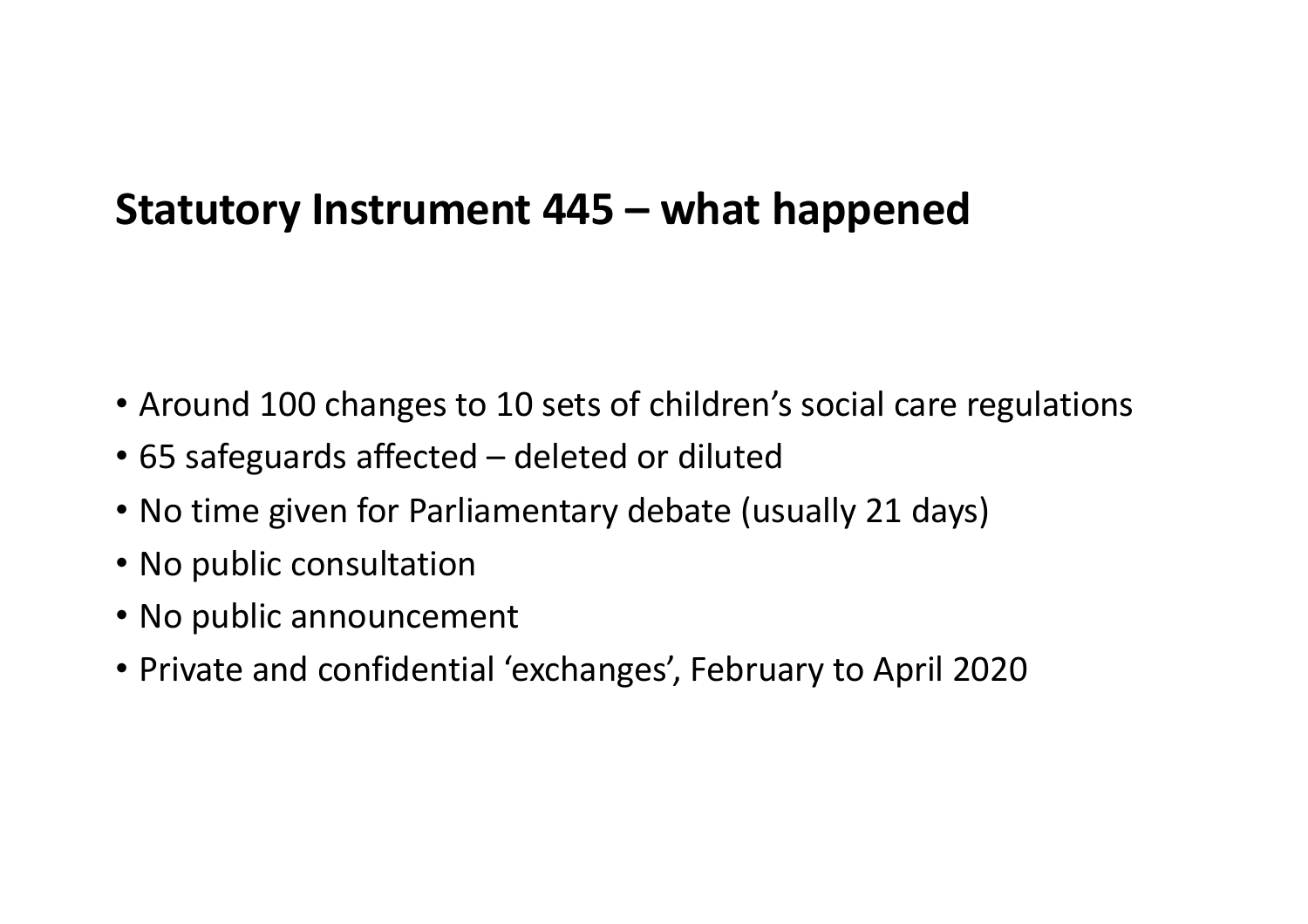### **Statutory Instrument 445 – what happened**

- Around 100 changes to 10 sets of children's social care regulations
- 65 safeguards affected deleted or diluted
- No time given for Parliamentary debate (usually 21 days)
- No public consultation
- No public announcement
- Private and confidential 'exchanges', February to April 2020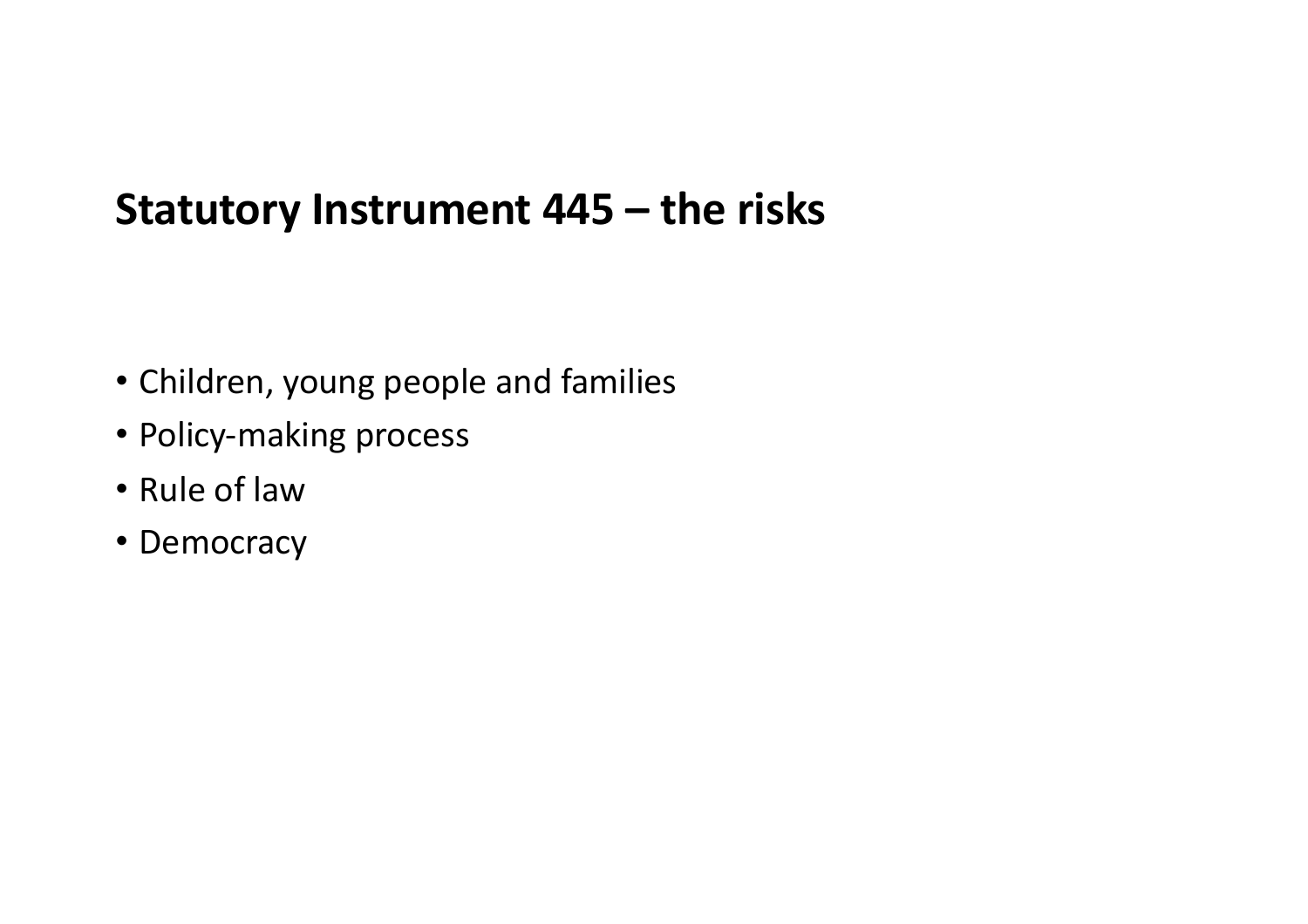#### **Statutory Instrument 445 – the risks**

- Children, young people and families
- Policy-making process
- Rule of law
- Democracy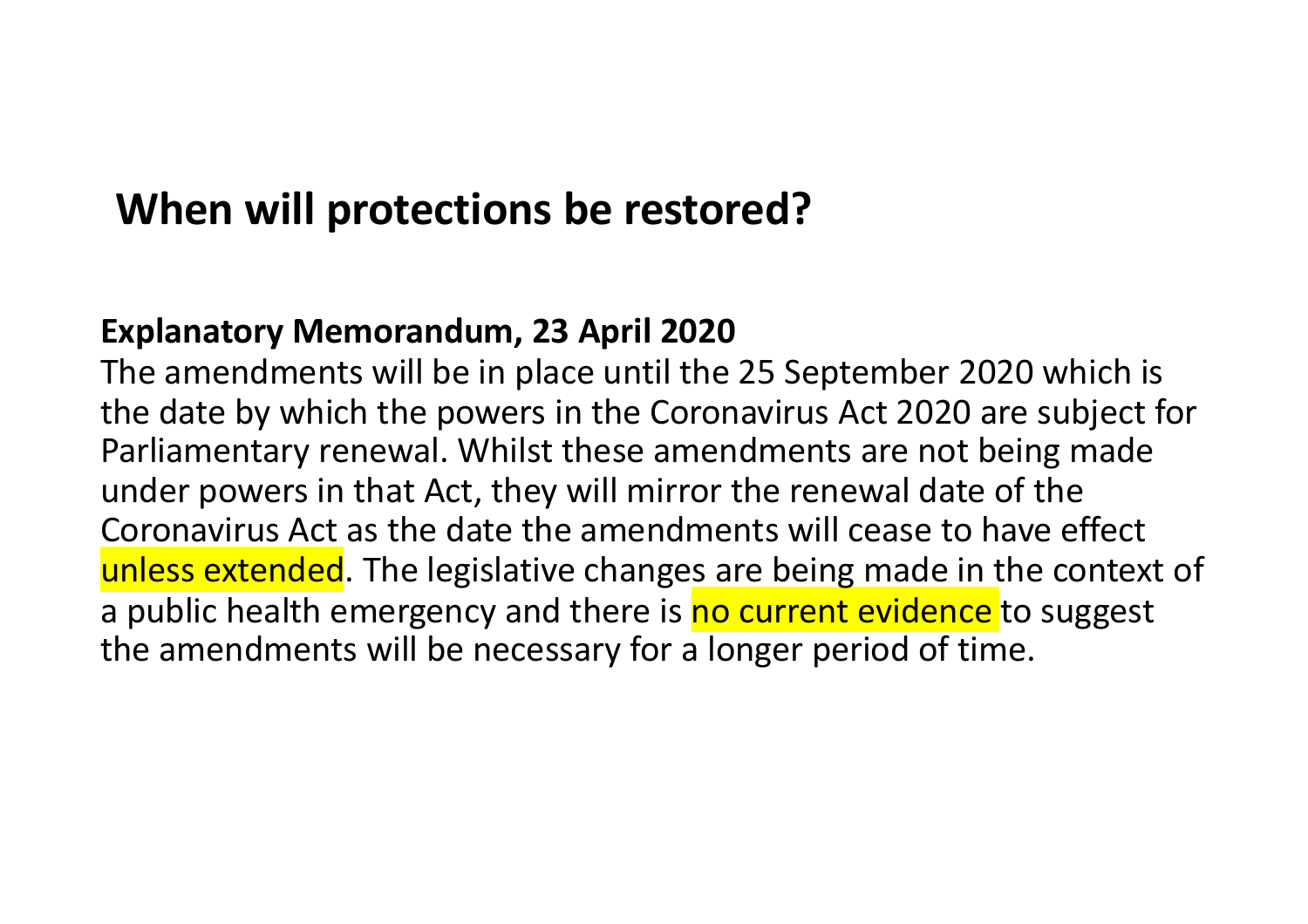#### **When will protections be restored?**

#### **Explanatory Memorandum, 23 April 2020**

The amendments will be in place until the 25 September 2020 which is the date by which the powers in the Coronavirus Act 2020 are subject for Parliamentary renewal. Whilst these amendments are not being made under powers in that Act, they will mirror the renewal date of the Coronavirus Act as the date the amendments will cease to have effect unless extended. The legislative changes are being made in the context of a public health emergency and there is no current evidence to suggest the amendments will be necessary for a longer period of time.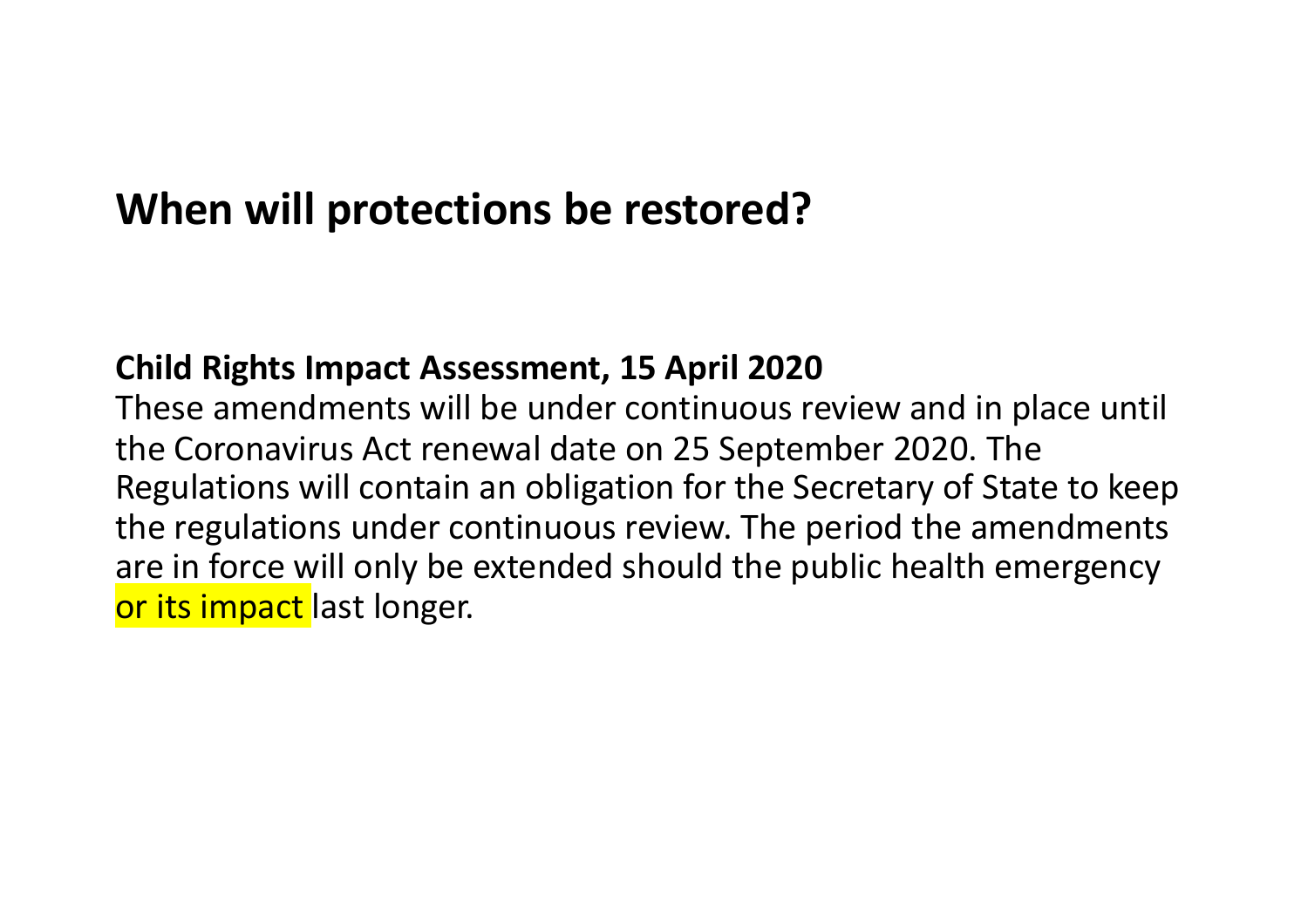#### **When will protections be restored?**

#### **Child Rights Impact Assessment, 15 April 2020**

These amendments will be under continuous review and in place until the Coronavirus Act renewal date on 25 September 2020. The Regulations will contain an obligation for the Secretary of State to keep the regulations under continuous review. The period the amendments are in force will only be extended should the public health emergency or its impact last longer.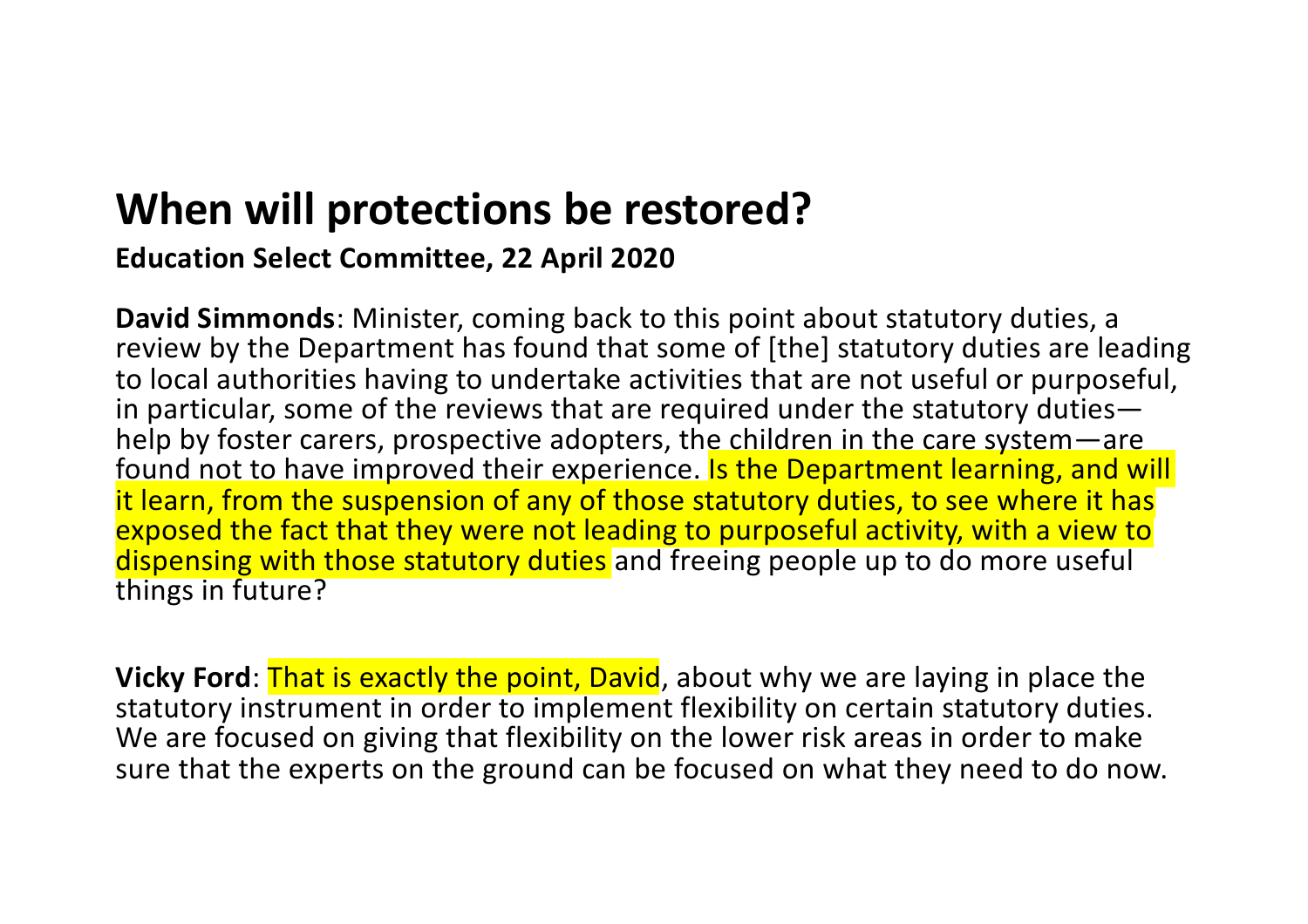## **When will protections be restored?**

**Education Select Committee, 22 April 2020**

**David Simmonds**: Minister, coming back to this point about statutory duties, a review by the Department has found that some of [the] statutory duties are leading to local authorities having to undertake activities that are not useful or purposeful, in particular, some of the reviews that are required under the statutory duties help by foster carers, prospective adopters, the children in the care system—are found not to have improved their experience. Is the Department learning, and will it learn, from the suspension of any of those statutory duties, to see where it has exposed the fact that they were not leading to purposeful activity, with a view to dispensing with those statutory duties and freeing people up to do more useful things in future?

**Vicky Ford:** That is exactly the point, David, about why we are laying in place the statutory instrument in order to implement flexibility on certain statutory duties. We are focused on giving that flexibility on the lower risk areas in order to make sure that the experts on the ground can be focused on what they need to do now.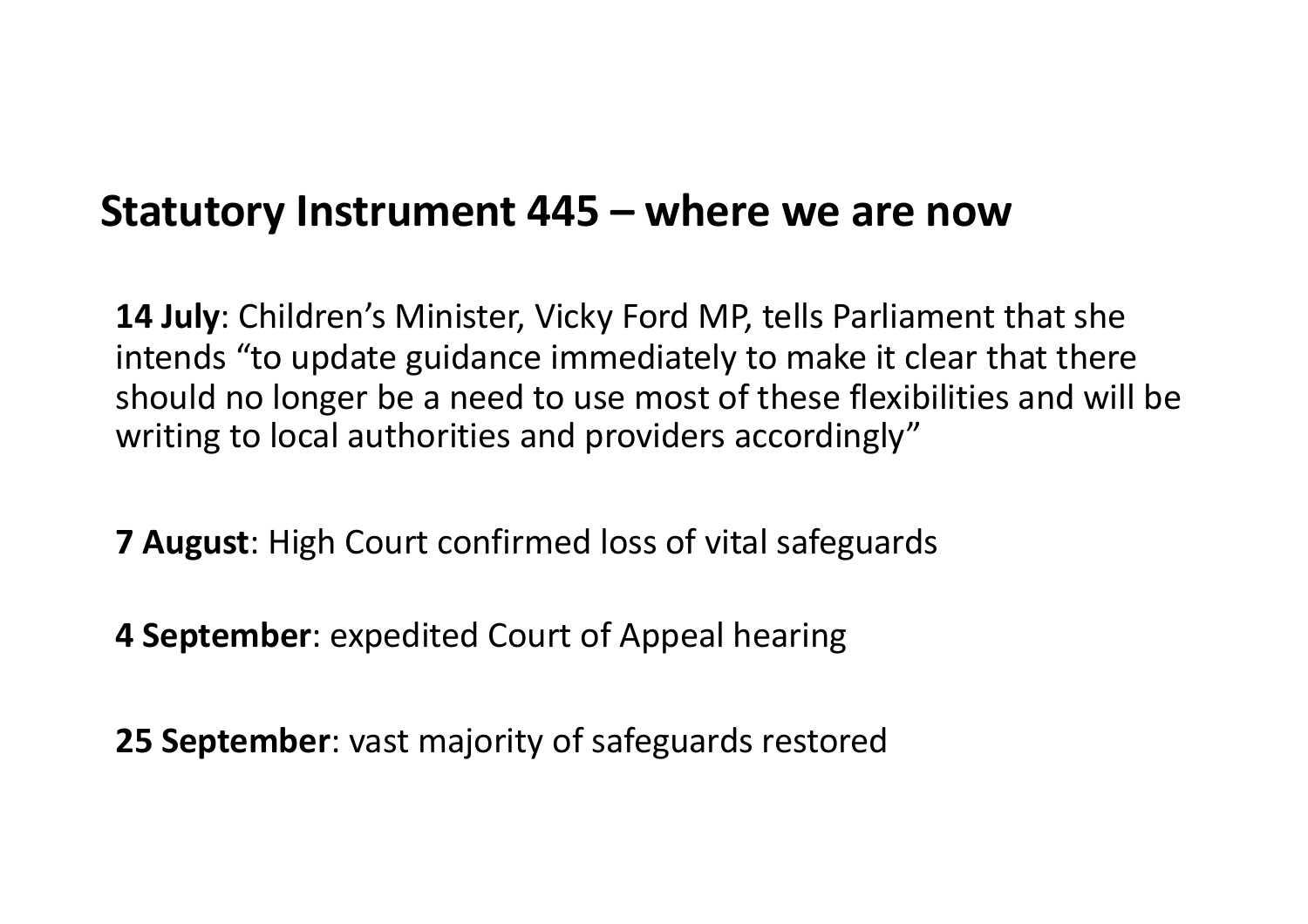#### **Statutory Instrument 445 – where we are now**

**14 July**: Children's Minister, Vicky Ford MP, tells Parliament that she intends "to update guidance immediately to make it clear that there should no longer be a need to use most of these flexibilities and will be writing to local authorities and providers accordingly"

**7 August**: High Court confirmed loss of vital safeguards

**4 September**: expedited Court of Appeal hearing

**25 September**: vast majority of safeguards restored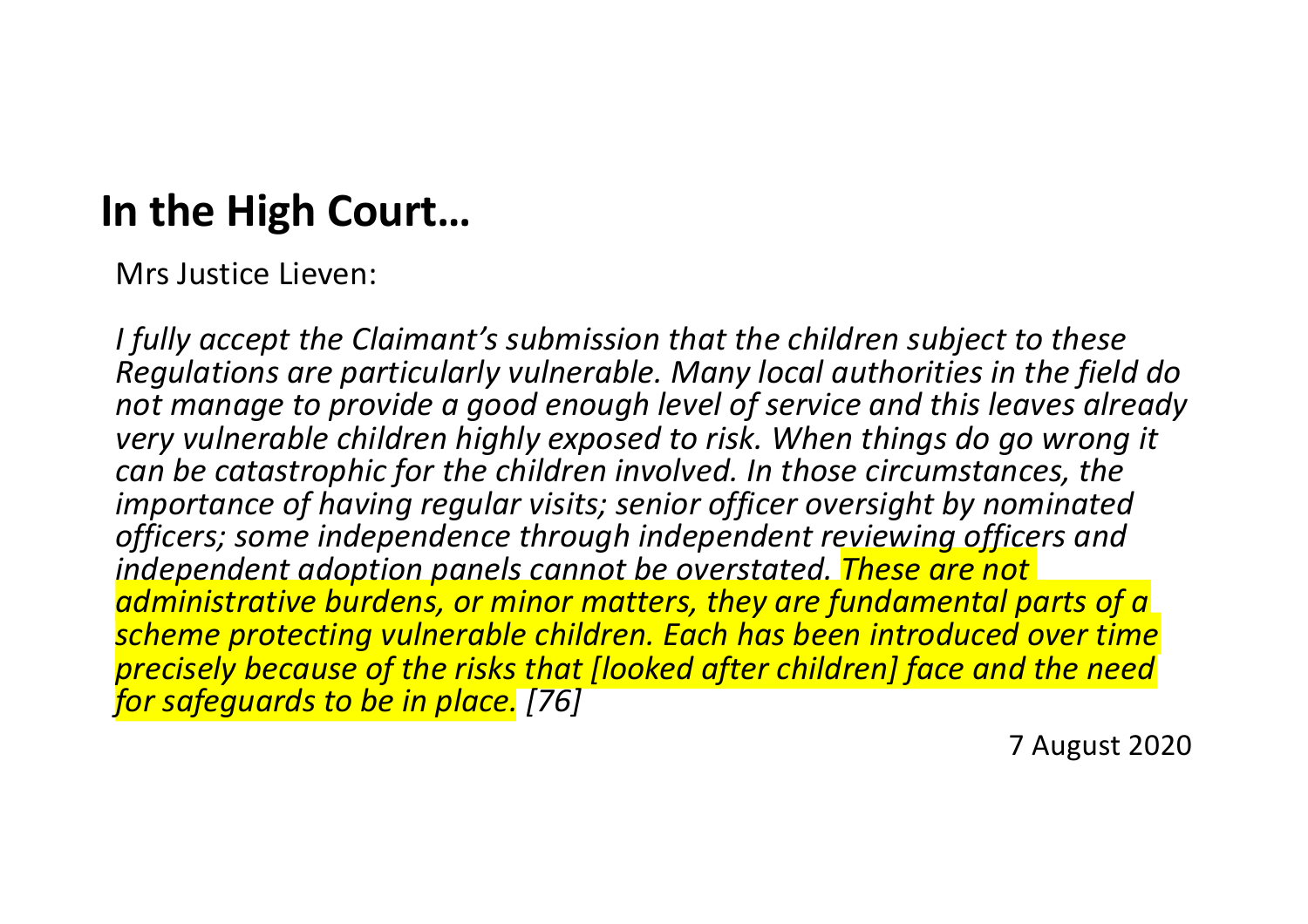## **In the High Court…**

Mrs Justice Lieven:

*I fully accept the Claimant's submission that the children subject to these Regulations are particularly vulnerable. Many local authorities in the field do not manage to provide a good enough level of service and this leaves already very vulnerable children highly exposed to risk. When things do go wrong it can be catastrophic for the children involved. In those circumstances, the importance of having regular visits; senior officer oversight by nominated officers; some independence through independent reviewing officers and independent adoption panels cannot be overstated. These are not administrative burdens, or minor matters, they are fundamental parts of a scheme protecting vulnerable children. Each has been introduced over time precisely because of the risks that [looked after children] face and the need for safeguards to be in place. [76]*

7 August 2020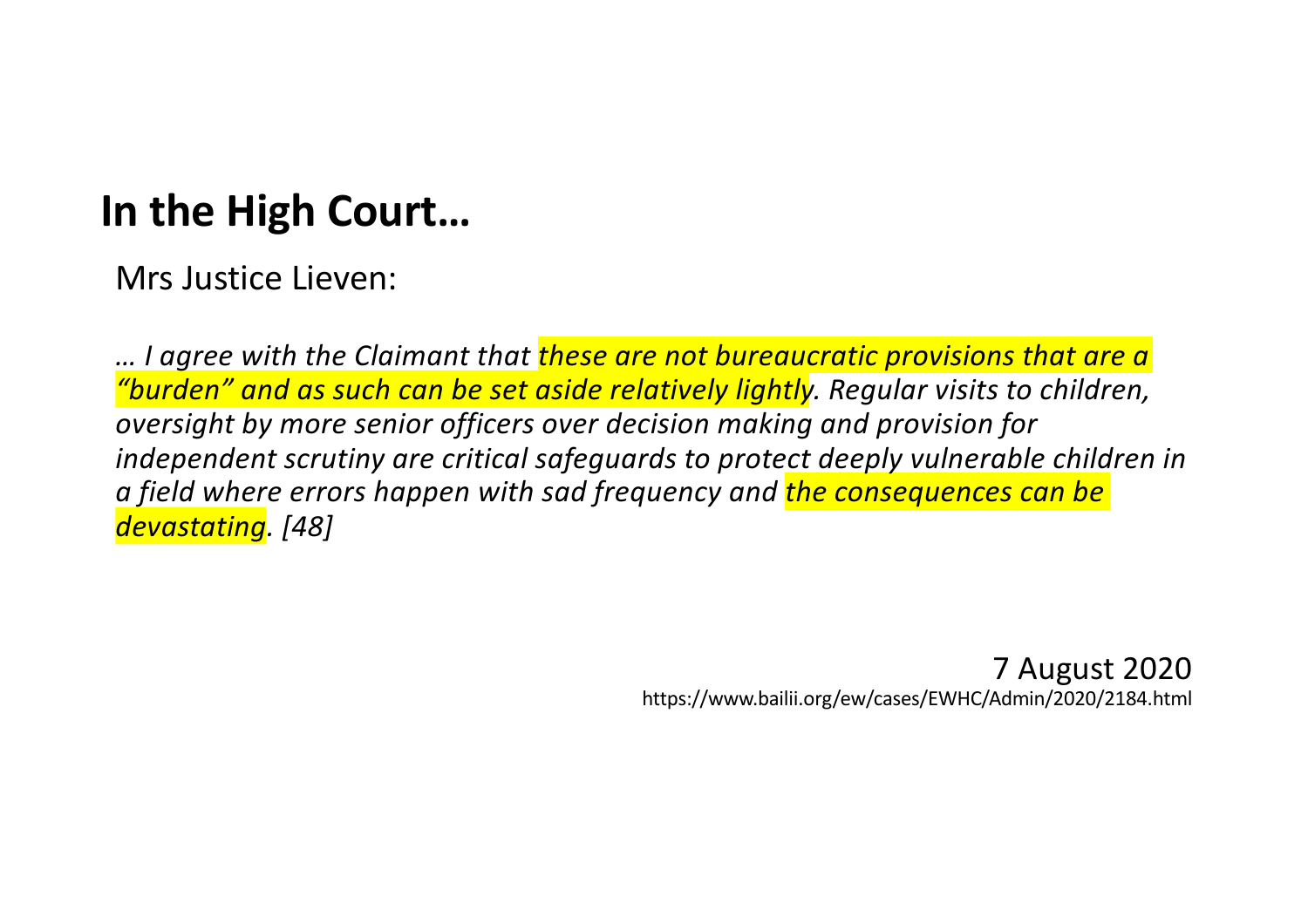## **In the High Court…**

Mrs Justice Lieven:

*… I agree with the Claimant that these are not bureaucratic provisions that are a "burden" and as such can be set aside relatively lightly. Regular visits to children, oversight by more senior officers over decision making and provision for independent scrutiny are critical safeguards to protect deeply vulnerable children in a field where errors happen with sad frequency and the consequences can be devastating. [48]* 

> 7 August 2020 https://www.bailii.org/ew/cases/EWHC/Admin/2020/2184.html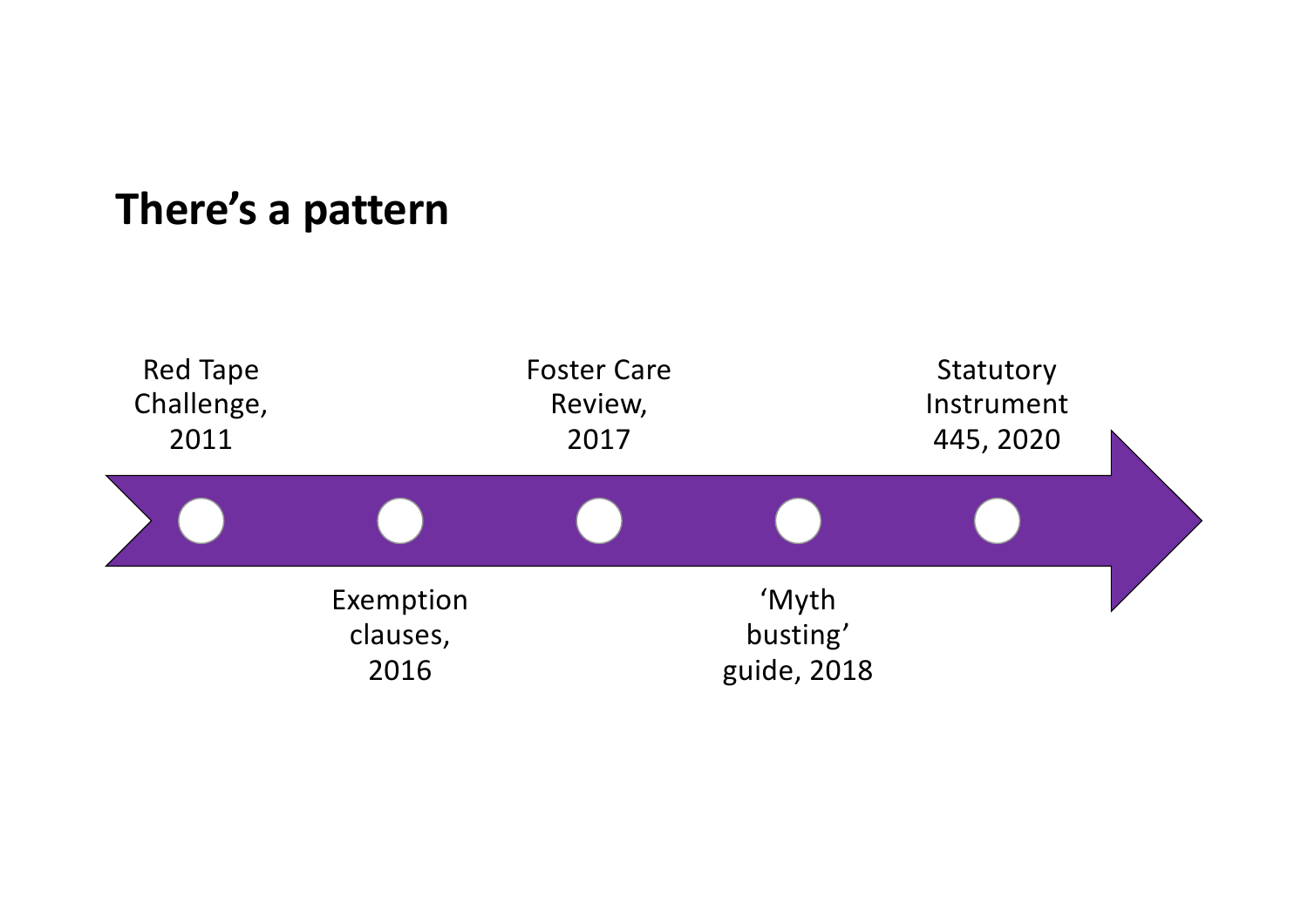#### **There's a pattern**

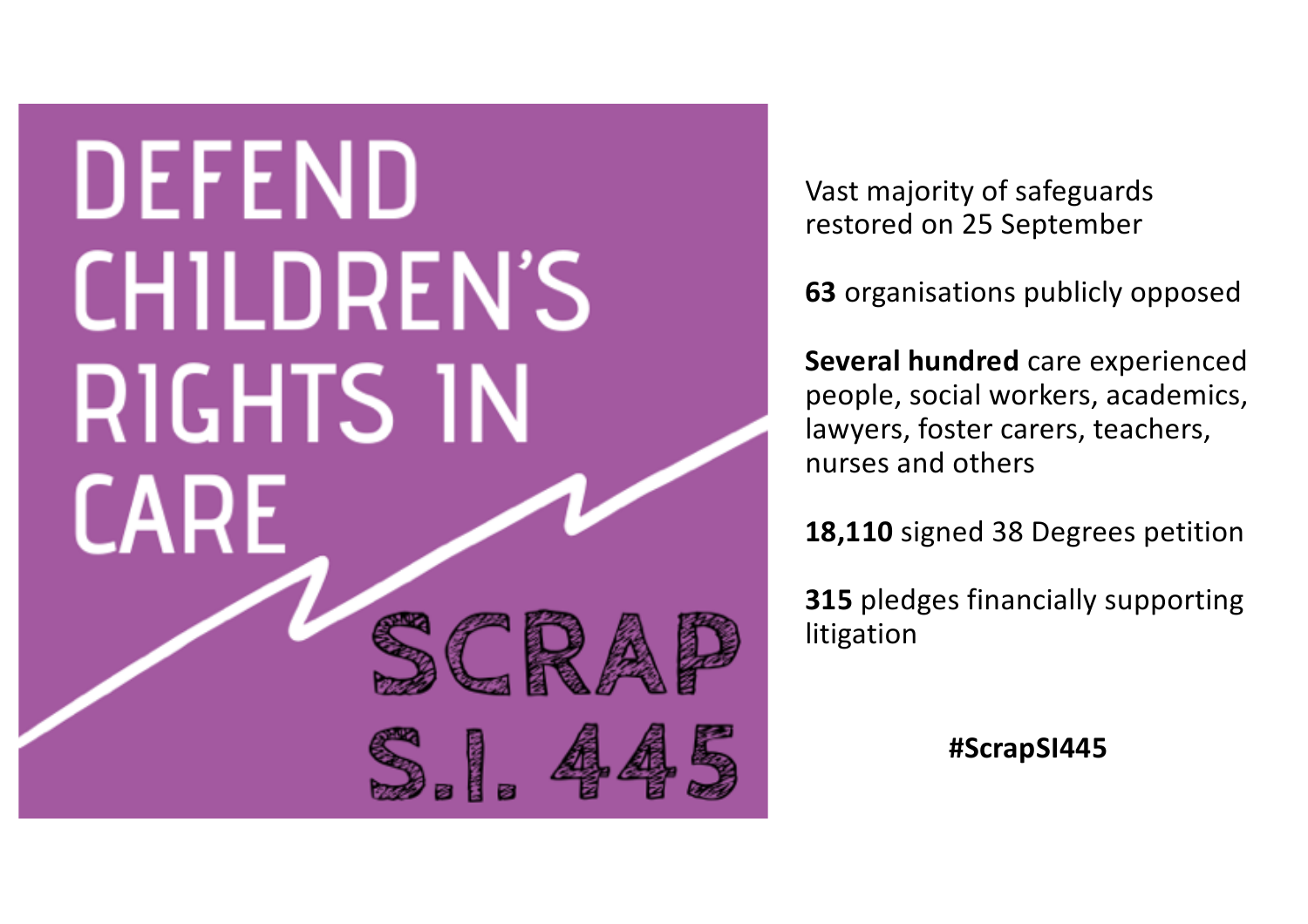# **DEFEND CHILDREN'S RIGHTS IN CARF**



Vast majority of safeguards restored on 25 September

**63** organisations publicly opposed

**Several hundred** care experienced people, social workers, academics, lawyers, foster carers, teachers, nurses and others

**18,110** signed 38 Degrees petition

**315** pledges financially supporting litigation

**#ScrapSI445**